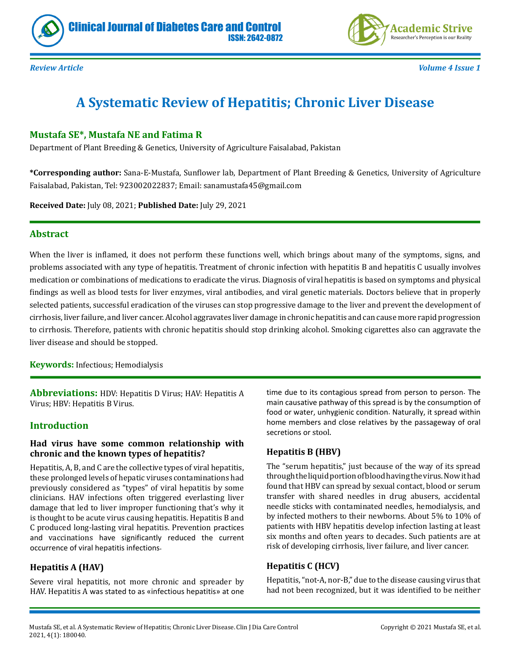



*Review Article Volume 4 Issue 1*

# **A Systematic Review of Hepatitis; Chronic Liver Disease**

ISSN: 2642-0872

## **Mustafa SE\*, Mustafa NE and Fatima R**

Department of Plant Breeding & Genetics, University of Agriculture Faisalabad, Pakistan

**\*Corresponding author:** Sana-E-Mustafa, Sunflower lab, Department of Plant Breeding & Genetics, University of Agriculture Faisalabad, Pakistan, Tel: 923002022837; Email: sanamustafa45@gmail.com

**Received Date:** July 08, 2021; **Published Date:** July 29, 2021

#### **Abstract**

When the liver is inflamed, it does not perform these functions well, which brings about many of the symptoms, signs, and problems associated with any type of hepatitis. Treatment of chronic infection with hepatitis B and hepatitis C usually involves medication or combinations of medications to eradicate the virus. Diagnosis of viral hepatitis is based on symptoms and physical findings as well as blood tests for liver enzymes, viral antibodies, and viral genetic materials. Doctors believe that in properly selected patients, successful eradication of the viruses can stop progressive damage to the liver and prevent the development of cirrhosis, liver failure, and liver cancer. Alcohol aggravates liver damage in chronic hepatitis and can cause more rapid progression to cirrhosis. Therefore, patients with chronic hepatitis should stop drinking alcohol. Smoking cigarettes also can aggravate the liver disease and should be stopped.

**Keywords:** Infectious; Hemodialysis

**Abbreviations:** HDV: Hepatitis D Virus; HAV: Hepatitis A Virus; HBV: Hepatitis B Virus.

#### **Introduction**

#### **Had virus have some common relationship with chronic and the known types of hepatitis?**

Hepatitis, A, B, and C are the collective types of viral hepatitis, these prolonged levels of hepatic viruses contaminations had previously considered as "types" of viral hepatitis by some clinicians. HAV infections often triggered everlasting liver damage that led to liver improper functioning that's why it is thought to be acute virus causing hepatitis. Hepatitis B and C produced long-lasting viral hepatitis. Prevention practices and vaccinations have significantly reduced the current occurrence of viral hepatitis infections.

# **Hepatitis A (HAV)**

Severe viral hepatitis, not more chronic and spreader by HAV. Hepatitis A was stated to as «infectious hepatitis» at one

time due to its contagious spread from person to person. The main causative pathway of this spread is by the consumption of food or water, unhygienic condition. Naturally, it spread within home members and close relatives by the passageway of oral secretions or stool.

# **Hepatitis B (HBV)**

The "serum hepatitis," just because of the way of its spread through the liquid portion of blood having the virus. Now it had found that HBV can spread by sexual contact, blood or serum transfer with shared needles in drug abusers, accidental needle sticks with contaminated needles, hemodialysis, and by infected mothers to their newborns. About 5% to 10% of patients with HBV hepatitis develop infection lasting at least six months and often years to decades. Such patients are at risk of developing cirrhosis, liver failure, and liver cancer.

#### **Hepatitis C (HCV)**

Hepatitis, "not-A, nor-B," due to the disease causing virus that had not been recognized, but it was identified to be neither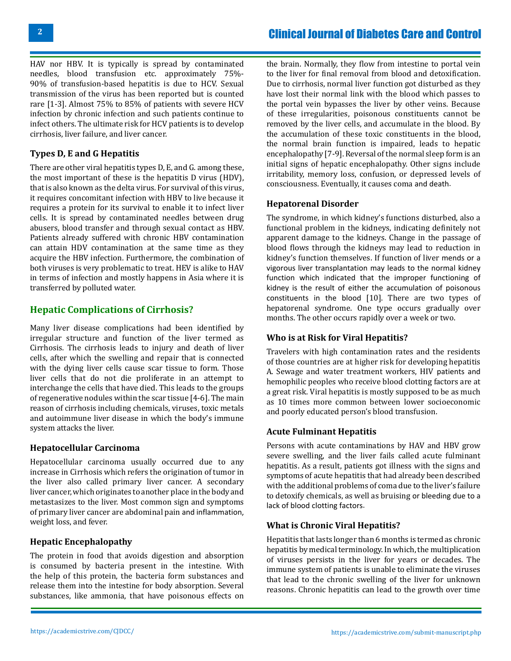HAV nor HBV. It is typically is spread by contaminated needles, blood transfusion etc. approximately 75%- 90% of transfusion-based hepatitis is due to HCV. Sexual transmission of the virus has been reported but is counted rare [1-3]. Almost 75% to 85% of patients with severe HCV infection by chronic infection and such patients continue to infect others. The ultimate risk for HCV patients is to develop cirrhosis, liver failure, and liver cancer.

## **Types D, E and G Hepatitis**

There are other viral hepatitis types D, E, and G. among these, the most important of these is the hepatitis D virus (HDV), that is also known as the delta virus. For survival of this virus, it requires concomitant infection with HBV to live because it requires a protein for its survival to enable it to infect liver cells. It is spread by contaminated needles between drug abusers, blood transfer and through sexual contact as HBV. Patients already suffered with chronic HBV contamination can attain HDV contamination at the same time as they acquire the HBV infection. Furthermore, the combination of both viruses is very problematic to treat. HEV is alike to HAV in terms of infection and mostly happens in Asia where it is transferred by polluted water.

# **Hepatic Complications of Cirrhosis?**

Many liver disease complications had been identified by irregular structure and function of the liver termed as Cirrhosis. The cirrhosis leads to injury and death of liver cells, after which the swelling and repair that is connected with the dying liver cells cause scar tissue to form. Those liver cells that do not die proliferate in an attempt to interchange the cells that have died. This leads to the groups of regenerative nodules within the scar tissue [4-6]. The main reason of cirrhosis including chemicals, viruses, toxic metals and autoimmune liver disease in which the body's immune system attacks the liver.

#### **Hepatocellular Carcinoma**

Hepatocellular carcinoma usually occurred due to any increase in Cirrhosis which refers the origination of tumor in the liver also called primary liver cancer. A secondary liver cancer, which originates to another place in the body and metastasizes to the liver. Most common sign and symptoms of primary liver cancer are abdominal pain and inflammation, weight loss, and fever.

# **Hepatic Encephalopathy**

The protein in food that avoids digestion and absorption is consumed by bacteria present in the intestine. With the help of this protein, the bacteria form substances and release them into the intestine for body absorption. Several substances, like ammonia, that have poisonous effects on

the brain. Normally, they flow from intestine to portal vein to the liver for final removal from blood and detoxification. Due to cirrhosis, normal liver function got disturbed as they have lost their normal link with the blood which passes to the portal vein bypasses the liver by other veins. Because of these irregularities, poisonous constituents cannot be removed by the liver cells, and accumulate in the blood. By the accumulation of these toxic constituents in the blood, the normal brain function is impaired, leads to hepatic encephalopathy [7-9]. Reversal of the normal sleep form is an initial signs of hepatic encephalopathy. Other signs include irritability, memory loss, confusion, or depressed levels of consciousness. Eventually, it causes coma and death.

#### **Hepatorenal Disorder**

The syndrome, in which kidney's functions disturbed, also a functional problem in the kidneys, indicating definitely not apparent damage to the kidneys. Change in the passage of blood flows through the kidneys may lead to reduction in kidney's function themselves. If function of liver mends or a vigorous liver transplantation may leads to the normal kidney function which indicated that the improper functioning of kidney is the result of either the accumulation of poisonous constituents in the blood [10]. There are two types of hepatorenal syndrome. One type occurs gradually over months. The other occurs rapidly over a week or two.

# **Who is at Risk for Viral Hepatitis?**

Travelers with high contamination rates and the residents of those countries are at higher risk for developing hepatitis A. Sewage and water treatment workers, HIV patients and hemophilic peoples who receive blood clotting factors are at a great risk. Viral hepatitis is mostly supposed to be as much as 10 times more common between lower socioeconomic and poorly educated person's blood transfusion.

# **Acute Fulminant Hepatitis**

Persons with acute contaminations by HAV and HBV grow severe swelling, and the liver fails called acute fulminant hepatitis. As a result, patients got illness with the signs and symptoms of acute hepatitis that had already been described with the additional problems of coma due to the liver's failure to detoxify chemicals, as well as bruising or bleeding due to a lack of blood clotting factors.

# **What is Chronic Viral Hepatitis?**

Hepatitis that lasts longer than 6 months is termed as chronic hepatitis by medical terminology. In which, the multiplication of viruses persists in the liver for years or decades. The immune system of patients is unable to eliminate the viruses that lead to the chronic swelling of the liver for unknown reasons. Chronic hepatitis can lead to the growth over time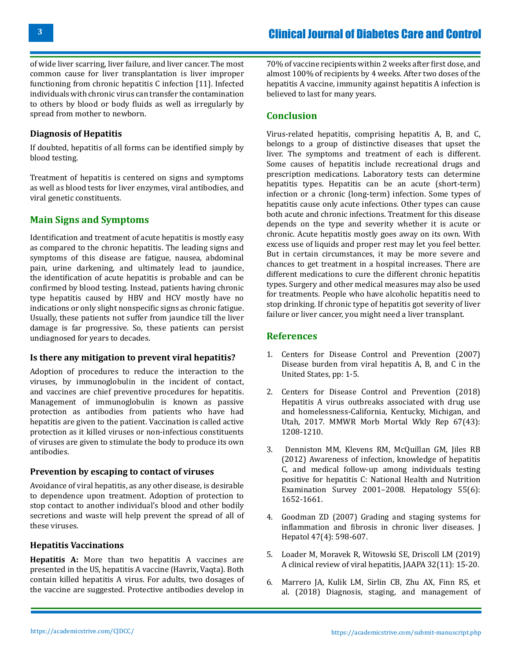of wide liver scarring, liver failure, and liver cancer. The most common cause for liver transplantation is liver improper functioning from chronic hepatitis C infection [11]. Infected individuals with chronic virus can transfer the contamination to others by blood or body fluids as well as irregularly by spread from mother to newborn.

## **Diagnosis of Hepatitis**

If doubted, hepatitis of all forms can be identified simply by blood testing.

Treatment of hepatitis is centered on signs and symptoms as well as blood tests for liver enzymes, viral antibodies, and viral genetic constituents.

## **Main Signs and Symptoms**

Identification and treatment of acute hepatitis is mostly easy as compared to the chronic hepatitis. The leading signs and symptoms of this disease are fatigue, nausea, abdominal pain, urine darkening, and ultimately lead to jaundice, the identification of acute hepatitis is probable and can be confirmed by blood testing. Instead, patients having chronic type hepatitis caused by HBV and HCV mostly have no indications or only slight nonspecific signs as chronic fatigue. Usually, these patients not suffer from jaundice till the liver damage is far progressive. So, these patients can persist undiagnosed for years to decades.

#### **Is there any mitigation to prevent viral hepatitis?**

Adoption of procedures to reduce the interaction to the viruses, by immunoglobulin in the incident of contact, and vaccines are chief preventive procedures for hepatitis. Management of immunoglobulin is known as passive protection as antibodies from patients who have had hepatitis are given to the patient. Vaccination is called active protection as it killed viruses or non-infectious constituents of viruses are given to stimulate the body to produce its own antibodies.

#### **Prevention by escaping to contact of viruses**

Avoidance of viral hepatitis, as any other disease, is desirable to dependence upon treatment. Adoption of protection to stop contact to another individual's blood and other bodily secretions and waste will help prevent the spread of all of these viruses.

#### **Hepatitis Vaccinations**

**Hepatitis A:** More than two hepatitis A vaccines are presented in the US, hepatitis A vaccine (Havrix, Vaqta). Both contain killed hepatitis A virus. For adults, two dosages of the vaccine are suggested. Protective antibodies develop in

70% of vaccine recipients within 2 weeks after first dose, and almost 100% of recipients by 4 weeks. After two doses of the hepatitis A vaccine, immunity against hepatitis A infection is believed to last for many years.

## **Conclusion**

Virus-related hepatitis, comprising hepatitis A, B, and C, belongs to a group of distinctive diseases that upset the liver. The symptoms and treatment of each is different. Some causes of hepatitis include recreational drugs and prescription medications. Laboratory tests can determine hepatitis types. Hepatitis can be an acute (short-term) infection or a chronic (long-term) infection. Some types of hepatitis cause only acute infections. Other types can cause both acute and chronic infections. Treatment for this disease depends on the type and severity whether it is acute or chronic. Acute hepatitis mostly goes away on its own. With excess use of liquids and proper rest may let you feel better. But in certain circumstances, it may be more severe and chances to get treatment in a hospital increases. There are different medications to cure the different chronic hepatitis types. Surgery and other medical measures may also be used for treatments. People who have alcoholic hepatitis need to stop drinking. If chronic type of hepatitis got severity of liver failure or liver cancer, you might need a liver transplant.

#### **References**

- 1. [Centers for Disease Control and Prevention \(2007\)](https://npin.cdc.gov/publication/disease-burden-viral-hepatitis-b-and-c-united-states) [Disease burden from viral hepatitis A, B, and C in the](https://npin.cdc.gov/publication/disease-burden-viral-hepatitis-b-and-c-united-states) [United States,](https://npin.cdc.gov/publication/disease-burden-viral-hepatitis-b-and-c-united-states) pp: 1-5.
- 2. [Centers for Disease Control and Prevention \(2018\)](https://pubmed.ncbi.nlm.nih.gov/30383739/) [Hepatitis A virus outbreaks associated with drug use](https://pubmed.ncbi.nlm.nih.gov/30383739/) [and homelessness-California, Kentucky, Michigan, and](https://pubmed.ncbi.nlm.nih.gov/30383739/)  [Utah, 2017. MMWR Morb Mortal Wkly Rep 67\(43\):](https://pubmed.ncbi.nlm.nih.gov/30383739/) [1208-1210.](https://pubmed.ncbi.nlm.nih.gov/30383739/)
- 3. [Denniston MM, Klevens RM, McQuillan GM, Jiles RB](https://pubmed.ncbi.nlm.nih.gov/22213025/)  [\(2012\) Awareness of infection, knowledge of hepatitis](https://pubmed.ncbi.nlm.nih.gov/22213025/) [C, and medical follow-up among individuals testing](https://pubmed.ncbi.nlm.nih.gov/22213025/)  [positive for hepatitis C: National Health and Nutrition](https://pubmed.ncbi.nlm.nih.gov/22213025/) [Examination Survey 2001–2008.](https://pubmed.ncbi.nlm.nih.gov/22213025/) Hepatology 55(6): [1652-1661.](https://pubmed.ncbi.nlm.nih.gov/22213025/)
- 4. [Goodman ZD \(2007\) Grading and staging systems for](https://pubmed.ncbi.nlm.nih.gov/17692984/) [inflammation and fibrosis in chronic liver diseases.](https://pubmed.ncbi.nlm.nih.gov/17692984/) J [Hepatol 47\(4\): 598-607.](https://pubmed.ncbi.nlm.nih.gov/17692984/)
- 5. [Loader M, Moravek R, Witowski SE, Driscoll LM \(2019\)](https://pubmed.ncbi.nlm.nih.gov/31592934/) [A clinical review of viral hepatitis, JAAPA 32\(11\): 15-20.](https://pubmed.ncbi.nlm.nih.gov/31592934/)
- 6. [Marrero JA, Kulik LM, Sirlin CB, Zhu AX, Finn RS, et](https://pubmed.ncbi.nlm.nih.gov/29624699/)  [al. \(2018\) Diagnosis, staging, and management of](https://pubmed.ncbi.nlm.nih.gov/29624699/)